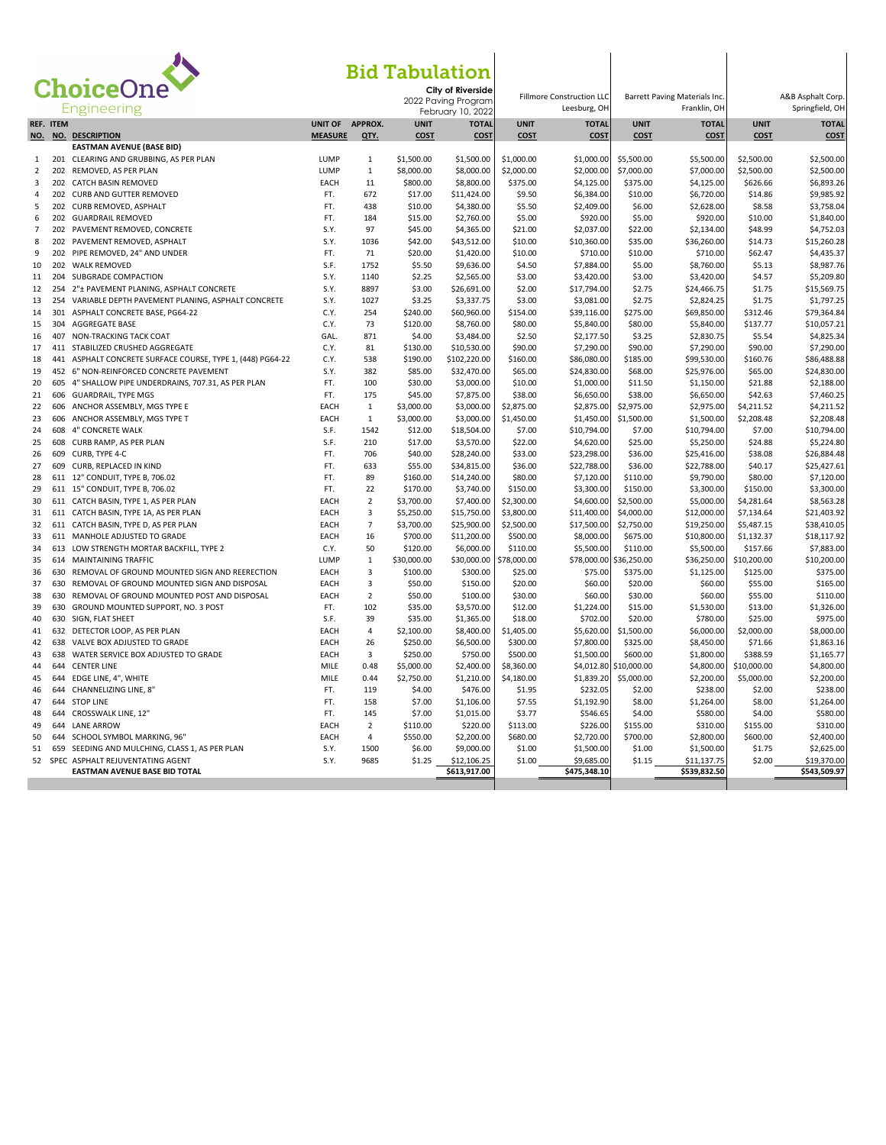

## Bid Tabulation

| ChoiceOne           |            |                                                                                | <b>Bid Tabulation</b><br>City of Riverside<br>2022 Paving Program |                |                         | <b>Fillmore Construction LLC</b> |                         | Barrett Paving Materials Inc.         |                        |                           | A&B Asphalt Corp.       |                           |
|---------------------|------------|--------------------------------------------------------------------------------|-------------------------------------------------------------------|----------------|-------------------------|----------------------------------|-------------------------|---------------------------------------|------------------------|---------------------------|-------------------------|---------------------------|
|                     |            | <b>Engineering</b>                                                             |                                                                   |                |                         | February 10, 2022                |                         | Leesburg, OH                          |                        | Franklin, OH              |                         | Springfield, OH           |
|                     | REF. ITEM  |                                                                                | UNIT OF                                                           | APPROX.        | <b>UNIT</b>             | <b>TOTAL</b>                     | <b>UNIT</b>             | <b>TOTAL</b>                          | <b>UNIT</b>            | <b>TOTAL</b>              | <b>UNIT</b>             | <b>TOTAL</b>              |
| NO.                 |            | NO. DESCRIPTION                                                                | <b>MEASURE</b>                                                    | QTY.           | <b>COST</b>             | <b>COST</b>                      | COST                    | <b>COST</b>                           | <b>COST</b>            | <b>COST</b>               | COST                    | <b>COST</b>               |
|                     |            | <b>EASTMAN AVENUE (BASE BID)</b>                                               | LUMP                                                              |                | \$1,500.00              |                                  | \$1,000.00              |                                       | \$5,500.00             |                           | \$2,500.00              | \$2,500.00                |
| 1<br>$\overline{2}$ | 202        | 201 CLEARING AND GRUBBING, AS PER PLAN<br>REMOVED, AS PER PLAN                 | LUMP                                                              | 1<br>$\,1\,$   | \$8,000.00              | \$1,500.00<br>\$8,000.00         | \$2,000.00              | \$1,000.00<br>\$2,000.00              | \$7,000.00             | \$5,500.00<br>\$7,000.00  | \$2,500.00              | \$2,500.00                |
| 3                   | 202        | <b>CATCH BASIN REMOVED</b>                                                     | EACH                                                              | 11             | \$800.00                | \$8,800.00                       | \$375.00                | \$4,125.00                            | \$375.00               | \$4,125.00                | \$626.66                | \$6,893.26                |
| $\overline{4}$      |            | 202 CURB AND GUTTER REMOVED                                                    | FT.                                                               | 672            | \$17.00                 | \$11,424.00                      | \$9.50                  | \$6,384.00                            | \$10.00                | \$6,720.00                | \$14.86                 | \$9,985.92                |
| 5                   | 202        | CURB REMOVED, ASPHALT                                                          | FT.                                                               | 438            | \$10.00                 | \$4,380.00                       | \$5.50                  | \$2,409.00                            | \$6.00                 | \$2,628.00                | \$8.58                  | \$3,758.04                |
| 6                   |            | 202 GUARDRAIL REMOVED                                                          | FT.                                                               | 184            | \$15.00                 | \$2,760.00                       | \$5.00                  | \$920.00                              | \$5.00                 | \$920.00                  | \$10.00                 | \$1,840.00                |
| $\overline{7}$      |            | 202 PAVEMENT REMOVED, CONCRETE                                                 | S.Y.                                                              | 97             | \$45.00                 | \$4,365.00                       | \$21.00                 | \$2,037.00                            | \$22.00                | \$2,134.00                | \$48.99                 | \$4,752.03                |
| 8                   |            | 202 PAVEMENT REMOVED, ASPHALT                                                  | S.Y.                                                              | 1036           | \$42.00                 | \$43,512.00                      | \$10.00                 | \$10,360.00                           | \$35.00                | \$36,260.00               | \$14.73                 | \$15,260.28               |
| 9                   | 202        | PIPE REMOVED, 24" AND UNDER                                                    | FT.                                                               | 71             | \$20.00                 | \$1,420.00                       | \$10.00                 | \$710.00                              | \$10.00                | \$710.00                  | \$62.47                 | \$4,435.37                |
| 10                  | 202        | <b>WALK REMOVED</b>                                                            | S.F.                                                              | 1752           | \$5.50                  | \$9,636.00                       | \$4.50                  | \$7,884.00                            | \$5.00                 | \$8,760.00                | \$5.13                  | \$8,987.76                |
| 11                  | 204        | SUBGRADE COMPACTION                                                            | S.Y.                                                              | 1140           | \$2.25                  | \$2,565.00                       | \$3.00                  | \$3,420.00                            | \$3.00                 | \$3,420.00                | \$4.57                  | \$5,209.80                |
| 12                  |            | 254 2"± PAVEMENT PLANING, ASPHALT CONCRETE                                     | S.Y.                                                              | 8897           | \$3.00                  | \$26,691.00                      | \$2.00                  | \$17,794.00                           | \$2.75                 | \$24,466.75               | \$1.75                  | \$15,569.75               |
| 13                  | 254        | VARIABLE DEPTH PAVEMENT PLANING, ASPHALT CONCRETE                              | S.Y.                                                              | 1027           | \$3.25                  | \$3,337.75                       | \$3.00                  | \$3,081.00                            | \$2.75                 | \$2,824.25                | \$1.75                  | \$1,797.25                |
| 14                  | 301        | ASPHALT CONCRETE BASE, PG64-22                                                 | C.Y.                                                              | 254            | \$240.00                | \$60,960.00                      | \$154.00                | \$39,116.00                           | \$275.00               | \$69,850.00               | \$312.46                | \$79,364.84               |
| 15<br>16            | 304<br>407 | <b>AGGREGATE BASE</b><br>NON-TRACKING TACK COAT                                | C.Y.<br>GAL.                                                      | 73<br>871      | \$120.00<br>\$4.00      | \$8,760.00<br>\$3,484.00         | \$80.00                 | \$5,840.00<br>\$2,177.50              | \$80.00                | \$5,840.00                | \$137.77                | \$10,057.21<br>\$4,825.34 |
| 17                  |            | 411 STABILIZED CRUSHED AGGREGATE                                               | C.Y.                                                              | 81             | \$130.00                | \$10,530.00                      | \$2.50<br>\$90.00       | \$7,290.00                            | \$3.25<br>\$90.00      | \$2,830.75<br>\$7,290.00  | \$5.54<br>\$90.00       | \$7,290.00                |
| 18                  |            | 441 ASPHALT CONCRETE SURFACE COURSE, TYPE 1, (448) PG64-22                     | C.Y.                                                              | 538            | \$190.00                | \$102,220.00                     | \$160.00                | \$86,080.00                           | \$185.00               | \$99,530.00               | \$160.76                | \$86,488.88               |
| 19                  |            | 452 6" NON-REINFORCED CONCRETE PAVEMENT                                        | S.Y.                                                              | 382            | \$85.00                 | \$32,470.00                      | \$65.00                 | \$24,830.00                           | \$68.00                | \$25,976.00               | \$65.00                 | \$24,830.00               |
| 20                  | 605        | 4" SHALLOW PIPE UNDERDRAINS, 707.31, AS PER PLAN                               | FT.                                                               | 100            | \$30.00                 | \$3,000.00                       | \$10.00                 | \$1,000.00                            | \$11.50                | \$1,150.00                | \$21.88                 | \$2,188.00                |
| 21                  |            | 606 GUARDRAIL, TYPE MGS                                                        | FT.                                                               | 175            | \$45.00                 | \$7,875.00                       | \$38.00                 | \$6,650.00                            | \$38.00                | \$6,650.00                | \$42.63                 | \$7,460.25                |
| 22                  |            | 606 ANCHOR ASSEMBLY, MGS TYPE E                                                | EACH                                                              | $\mathbf{1}$   | \$3,000.00              | \$3,000.00                       | \$2,875.00              | \$2,875.00                            | \$2,975.00             | \$2,975.00                | \$4,211.52              | \$4,211.52                |
| 23                  | 606        | ANCHOR ASSEMBLY, MGS TYPE T                                                    | EACH                                                              | $\mathbf{1}$   | \$3,000.00              | \$3,000.00                       | \$1,450.00              | \$1,450.00                            | \$1,500.00             | \$1,500.00                | \$2,208.48              | \$2,208.48                |
| 24                  |            | 608 4" CONCRETE WALK                                                           | S.F.                                                              | 1542           | \$12.00                 | \$18,504.00                      | \$7.00                  | \$10,794.00                           | \$7.00                 | \$10,794.00               | \$7.00                  | \$10,794.00               |
| 25                  | 608        | CURB RAMP, AS PER PLAN                                                         | S.F.                                                              | 210            | \$17.00                 | \$3,570.00                       | \$22.00                 | \$4,620.00                            | \$25.00                | \$5,250.00                | \$24.88                 | \$5,224.80                |
| 26                  | 609        | CURB, TYPE 4-C                                                                 | FT.                                                               | 706            | \$40.00                 | \$28,240.00                      | \$33.00                 | \$23,298.00                           | \$36.00                | \$25,416.00               | \$38.08                 | \$26,884.48               |
| 27                  | 609        | CURB, REPLACED IN KIND                                                         | FT.                                                               | 633            | \$55.00                 | \$34,815.00                      | \$36.00                 | \$22,788.00                           | \$36.00                | \$22,788.00               | \$40.17                 | \$25,427.61               |
| 28                  |            | 611 12" CONDUIT, TYPE B, 706.02                                                | FT.                                                               | 89             | \$160.00                | \$14,240.00                      | \$80.00                 | \$7,120.00                            | \$110.00               | \$9,790.00                | \$80.00                 | \$7,120.00                |
| 29                  |            | 611 15" CONDUIT, TYPE B, 706.02                                                | FT.                                                               | 22             | \$170.00                | \$3,740.00                       | \$150.00                | \$3,300.00                            | \$150.00               | \$3,300.00                | \$150.00                | \$3,300.00                |
| 30                  |            | 611 CATCH BASIN, TYPE 1, AS PER PLAN                                           | EACH                                                              | $\overline{2}$ | \$3,700.00              | \$7,400.00                       | \$2,300.00              | \$4,600.00                            | \$2,500.00             | \$5,000.00                | \$4,281.64              | \$8,563.28                |
| 31                  |            | 611 CATCH BASIN, TYPE 1A, AS PER PLAN                                          | EACH                                                              | 3              | \$5,250.00              | \$15,750.00                      | \$3,800.00              | \$11,400.00                           | \$4,000.00             | \$12,000.00               | \$7,134.64              | \$21,403.92               |
| 32                  |            | 611 CATCH BASIN, TYPE D, AS PER PLAN                                           | EACH                                                              | $\overline{7}$ | \$3,700.00              | \$25,900.00                      | \$2,500.00              | \$17,500.00                           | \$2,750.00             | \$19,250.00               | \$5,487.15              | \$38,410.05               |
| 33<br>34            |            | 611 MANHOLE ADJUSTED TO GRADE                                                  | EACH                                                              | 16<br>50       | \$700.00                | \$11,200.00                      | \$500.00                | \$8,000.00                            | \$675.00               | \$10,800.00               | \$1,132.37              | \$18,117.92               |
| 35                  |            | 613 LOW STRENGTH MORTAR BACKFILL, TYPE 2<br>614 MAINTAINING TRAFFIC            | C.Y.<br>LUMP                                                      | $\mathbf 1$    | \$120.00<br>\$30,000.00 | \$6,000.00<br>\$30,000.00        | \$110.00<br>\$78,000.00 | \$5,500.00<br>\$78,000.00 \$36,250.00 | \$110.00               | \$5,500.00<br>\$36,250.00 | \$157.66<br>\$10,200.00 | \$7,883.00<br>\$10,200.00 |
| 36                  | 630        | REMOVAL OF GROUND MOUNTED SIGN AND REERECTION                                  | EACH                                                              | 3              | \$100.00                | \$300.00                         | \$25.00                 | \$75.00                               | \$375.00               | \$1,125.00                | \$125.00                | \$375.00                  |
| 37                  |            | 630 REMOVAL OF GROUND MOUNTED SIGN AND DISPOSAL                                | EACH                                                              | 3              | \$50.00                 | \$150.00                         | \$20.00                 | \$60.00                               | \$20.00                | \$60.00                   | \$55.00                 | \$165.00                  |
| 38                  | 630        | REMOVAL OF GROUND MOUNTED POST AND DISPOSAL                                    | EACH                                                              | $\overline{2}$ | \$50.00                 | \$100.00                         | \$30.00                 | \$60.00                               | \$30.00                | \$60.00                   | \$55.00                 | \$110.00                  |
| 39                  | 630        | GROUND MOUNTED SUPPORT, NO. 3 POST                                             | FT.                                                               | 102            | \$35.00                 | \$3,570.00                       | \$12.00                 | \$1,224.00                            | \$15.00                | \$1,530.00                | \$13.00                 | \$1,326.00                |
| 40                  |            | 630 SIGN, FLAT SHEET                                                           | S.F.                                                              | 39             | \$35.00                 | \$1,365.00                       | \$18.00                 | \$702.00                              | \$20.00                | \$780.00                  | \$25.00                 | \$975.00                  |
| 41                  | 632        | DETECTOR LOOP, AS PER PLAN                                                     | EACH                                                              | $\overline{4}$ | \$2,100.00              | \$8,400.00                       | \$1,405.00              | \$5,620.00                            | \$1,500.00             | \$6,000.00                | \$2,000.00              | \$8,000.00                |
| 42                  | 638        | VALVE BOX ADJUSTED TO GRADE                                                    | EACH                                                              | 26             | \$250.00                | \$6,500.00                       | \$300.00                | \$7,800.00                            | \$325.00               | \$8,450.00                | \$71.66                 | \$1,863.16                |
| 43                  | 638        | WATER SERVICE BOX ADJUSTED TO GRADE                                            | EACH                                                              | $\overline{3}$ | \$250.00                | \$750.00                         | \$500.00                | \$1,500.00                            | \$600.00               | \$1,800.00                | \$388.59                | \$1,165.77                |
| 44                  | 644        | <b>CENTER LINE</b>                                                             | <b>MILE</b>                                                       | 0.48           | \$5,000.00              | \$2,400.00                       | \$8,360.00              |                                       | \$4,012.80 \$10,000.00 | \$4,800.00                | \$10,000.00             | \$4,800.00                |
| 45                  | 644        | EDGE LINE, 4", WHITE                                                           | MILE                                                              | 0.44           | \$2,750.00              | \$1,210.00                       | \$4,180.00              | \$1,839.20                            | \$5,000.00             | \$2,200.00                | \$5,000.00              | \$2,200.00                |
| 46                  | 644        | CHANNELIZING LINE, 8"                                                          | FT.                                                               | 119            | \$4.00                  | \$476.00                         | \$1.95                  | \$232.05                              | \$2.00                 | \$238.00                  | \$2.00                  | \$238.00                  |
| 47                  | 644        | <b>STOP LINE</b>                                                               | FT.                                                               | 158            | \$7.00                  | \$1,106.00                       | \$7.55                  | \$1,192.90                            | \$8.00                 | \$1,264.00                | \$8.00                  | \$1,264.00                |
| 48                  | 644        | CROSSWALK LINE, 12"                                                            | FT.                                                               | 145            | \$7.00                  | \$1,015.00                       | \$3.77                  | \$546.65                              | \$4.00                 | \$580.00                  | \$4.00                  | \$580.00                  |
| 49                  |            | 644 LANE ARROW                                                                 | EACH                                                              | $\overline{2}$ | \$110.00                | \$220.00                         | \$113.00                | \$226.00                              | \$155.00               | \$310.00                  | \$155.00                | \$310.00                  |
| 50                  | 644        | SCHOOL SYMBOL MARKING, 96"                                                     | EACH                                                              | $\overline{a}$ | \$550.00                | \$2,200.00                       | \$680.00                | \$2,720.00                            | \$700.00               | \$2,800.00                | \$600.00                | \$2,400.00                |
| 51<br>52            | 659        | SEEDING AND MULCHING, CLASS 1, AS PER PLAN<br>SPEC ASPHALT REJUVENTATING AGENT | S.Y.<br>S.Y.                                                      | 1500<br>9685   | \$6.00<br>\$1.25        | \$9,000.00<br>\$12,106.25        | \$1.00<br>\$1.00        | \$1,500.00<br>\$9,685.00              | \$1.00<br>\$1.15       | \$1,500.00<br>\$11,137.75 | \$1.75<br>\$2.00        | \$2,625.00<br>\$19,370.00 |
|                     |            | EASTMAN AVENUE BASE BID TOTAL                                                  |                                                                   |                |                         | \$613,917.00                     |                         | \$475,348.10                          |                        | \$539,832.50              |                         | \$543,509.97              |
|                     |            |                                                                                |                                                                   |                |                         |                                  |                         |                                       |                        |                           |                         |                           |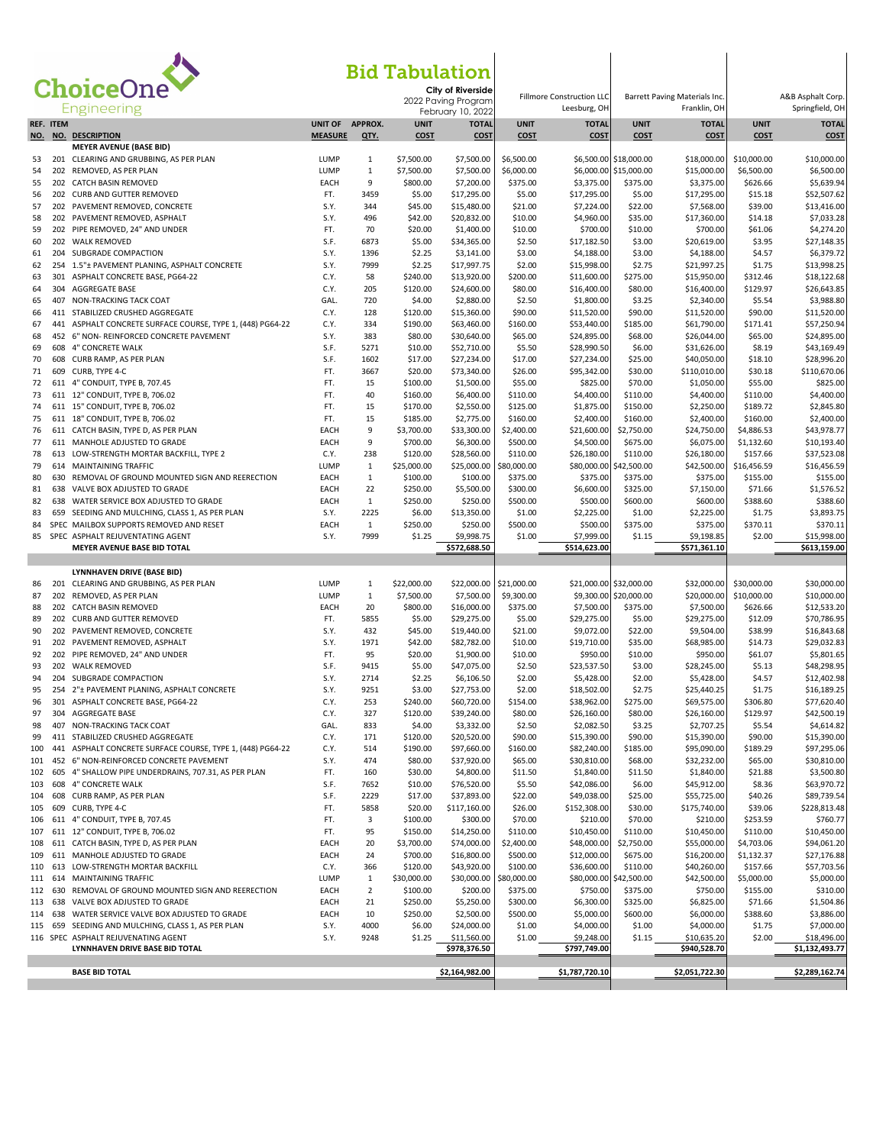| ChoiceOne<br><b>Bid Tabulation</b> |           |                                                                                                       |                 |                |                         |                                                               |                         |                                                  |                         |                                               |                          |                                      |
|------------------------------------|-----------|-------------------------------------------------------------------------------------------------------|-----------------|----------------|-------------------------|---------------------------------------------------------------|-------------------------|--------------------------------------------------|-------------------------|-----------------------------------------------|--------------------------|--------------------------------------|
|                                    |           |                                                                                                       |                 |                |                         | City of Riverside<br>2022 Paving Program<br>February 10, 2022 |                         | <b>Fillmore Construction LLC</b><br>Leesburg, OH |                         | Barrett Paving Materials Inc.<br>Franklin, OH |                          | A&B Asphalt Corp.<br>Springfield, OH |
|                                    | REF. ITEM |                                                                                                       | UNIT OF APPROX. |                | <b>UNIT</b>             | <b>TOTAL</b>                                                  | <b>UNIT</b>             | <b>TOTAL</b>                                     | <b>UNIT</b>             | <b>TOTAL</b>                                  | <b>UNIT</b>              | <b>TOTAL</b>                         |
|                                    |           | NO. NO. DESCRIPTION<br><b>MEYER AVENUE (BASE BID)</b>                                                 | <b>MEASURE</b>  | QTY.           | <b>COST</b>             | <b>COST</b>                                                   | <b>COST</b>             | <b>COST</b>                                      | <b>COST</b>             | <b>COST</b>                                   | <b>COST</b>              | <b>COST</b>                          |
| 53                                 |           | 201 CLEARING AND GRUBBING, AS PER PLAN                                                                | LUMP            | 1              | \$7,500.00              | \$7,500.00                                                    | \$6,500.00              |                                                  | \$6,500.00 \$18,000.00  | \$18,000.00                                   | \$10,000.00              | \$10,000.00                          |
| 54                                 |           | 202 REMOVED, AS PER PLAN                                                                              | LUMP            | $1\,$          | \$7,500.00              | \$7,500.00                                                    | \$6,000.00              | \$6,000.00                                       | \$15,000.00             | \$15,000.00                                   | \$6,500.00               | \$6,500.00                           |
| 55                                 |           | 202 CATCH BASIN REMOVED                                                                               | EACH            | 9              | \$800.00                | \$7,200.00                                                    | \$375.00                | \$3,375.00                                       | \$375.00                | \$3,375.00                                    | \$626.66                 | \$5,639.94                           |
| 56                                 |           | 202 CURB AND GUTTER REMOVED                                                                           | FT.             | 3459           | \$5.00                  | \$17,295.00                                                   | \$5.00                  | \$17,295.00                                      | \$5.00                  | \$17,295.00                                   | \$15.18                  | \$52,507.62<br>\$13,416.00           |
| 57<br>58                           |           | 202 PAVEMENT REMOVED, CONCRETE<br>202 PAVEMENT REMOVED, ASPHALT                                       | S.Y.<br>S.Y.    | 344<br>496     | \$45.00<br>\$42.00      | \$15,480.00<br>\$20,832.00                                    | \$21.00<br>\$10.00      | \$7,224.00<br>\$4,960.00                         | \$22.00<br>\$35.00      | \$7,568.00<br>\$17,360.00                     | \$39.00<br>\$14.18       | \$7,033.28                           |
| 59                                 |           | 202 PIPE REMOVED, 24" AND UNDER                                                                       | FT.             | 70             | \$20.00                 | \$1,400.00                                                    | \$10.00                 | \$700.00                                         | \$10.00                 | \$700.00                                      | \$61.06                  | \$4,274.20                           |
| 60                                 |           | 202 WALK REMOVED                                                                                      | S.F.            | 6873           | \$5.00                  | \$34,365.00                                                   | \$2.50                  | \$17,182.50                                      | \$3.00                  | \$20,619.00                                   | \$3.95                   | \$27,148.35                          |
| 61                                 |           | 204 SUBGRADE COMPACTION                                                                               | S.Y.            | 1396           | \$2.25                  | \$3,141.00                                                    | \$3.00                  | \$4,188.00                                       | \$3.00                  | \$4,188.00                                    | \$4.57                   | \$6,379.72                           |
| 62                                 |           | 254 1.5"± PAVEMENT PLANING, ASPHALT CONCRETE                                                          | S.Y.            | 7999           | \$2.25                  | \$17,997.75                                                   | \$2.00                  | \$15,998.00                                      | \$2.75                  | \$21,997.25                                   | \$1.75                   | \$13,998.25                          |
| 63<br>64                           |           | 301 ASPHALT CONCRETE BASE, PG64-22<br>304 AGGREGATE BASE                                              | C.Y.<br>C.Y.    | 58<br>205      | \$240.00<br>\$120.00    | \$13,920.00<br>\$24,600.00                                    | \$200.00<br>\$80.00     | \$11,600.00<br>\$16,400.00                       | \$275.00<br>\$80.00     | \$15,950.00<br>\$16,400.00                    | \$312.46<br>\$129.97     | \$18,122.68<br>\$26,643.85           |
| 65                                 |           | 407 NON-TRACKING TACK COAT                                                                            | GAL.            | 720            | \$4.00                  | \$2,880.00                                                    | \$2.50                  | \$1,800.00                                       | \$3.25                  | \$2,340.00                                    | \$5.54                   | \$3,988.80                           |
| 66                                 |           | 411 STABILIZED CRUSHED AGGREGATE                                                                      | C.Y.            | 128            | \$120.00                | \$15,360.00                                                   | \$90.00                 | \$11,520.00                                      | \$90.00                 | \$11,520.00                                   | \$90.00                  | \$11,520.00                          |
| 67                                 |           | 441 ASPHALT CONCRETE SURFACE COURSE, TYPE 1, (448) PG64-22                                            | C.Y.            | 334            | \$190.00                | \$63,460.00                                                   | \$160.00                | \$53,440.00                                      | \$185.00                | \$61,790.00                                   | \$171.41                 | \$57,250.94                          |
| 68                                 |           | 452 6" NON- REINFORCED CONCRETE PAVEMENT                                                              | S.Y.            | 383            | \$80.00                 | \$30,640.00                                                   | \$65.00                 | \$24,895.00                                      | \$68.00                 | \$26,044.00                                   | \$65.00                  | \$24,895.00                          |
| 69                                 |           | 608 4" CONCRETE WALK                                                                                  | S.F.            | 5271           | \$10.00                 | \$52,710.00                                                   | \$5.50                  | \$28,990.50                                      | \$6.00                  | \$31,626.00                                   | \$8.19                   | \$43,169.49                          |
| 70                                 | 608       | CURB RAMP, AS PER PLAN                                                                                | S.F.            | 1602           | \$17.00                 | \$27,234.00                                                   | \$17.00                 | \$27,234.00                                      | \$25.00                 | \$40,050.00                                   | \$18.10                  | \$28,996.20                          |
| 71<br>72                           |           | 609 CURB, TYPE 4-C<br>611 4" CONDUIT, TYPE B, 707.45                                                  | FT.<br>FT.      | 3667<br>15     | \$20.00                 | \$73,340.00<br>\$1,500.00                                     | \$26.00<br>\$55.00      | \$95,342.00<br>\$825.00                          | \$30.00                 | \$110,010.00<br>\$1,050.00                    | \$30.18<br>\$55.00       | \$110,670.06<br>\$825.00             |
| 73                                 |           | 611 12" CONDUIT, TYPE B, 706.02                                                                       | FT.             | 40             | \$100.00<br>\$160.00    | \$6,400.00                                                    | \$110.00                | \$4,400.00                                       | \$70.00<br>\$110.00     | \$4,400.00                                    | \$110.00                 | \$4,400.00                           |
| 74                                 |           | 611 15" CONDUIT, TYPE B, 706.02                                                                       | FT.             | 15             | \$170.00                | \$2,550.00                                                    | \$125.00                | \$1,875.00                                       | \$150.00                | \$2,250.00                                    | \$189.72                 | \$2,845.80                           |
| 75                                 |           | 611 18" CONDUIT, TYPE B, 706.02                                                                       | FT.             | 15             | \$185.00                | \$2,775.00                                                    | \$160.00                | \$2,400.00                                       | \$160.00                | \$2,400.00                                    | \$160.00                 | \$2,400.00                           |
| 76                                 |           | 611 CATCH BASIN, TYPE D, AS PER PLAN                                                                  | EACH            | 9              | \$3,700.00              | \$33,300.00                                                   | \$2,400.00              | \$21,600.00                                      | \$2,750.00              | \$24,750.00                                   | \$4,886.53               | \$43,978.77                          |
| 77                                 |           | 611 MANHOLE ADJUSTED TO GRADE                                                                         | EACH            | 9              | \$700.00                | \$6,300.00                                                    | \$500.00                | \$4,500.00                                       | \$675.00                | \$6,075.00                                    | \$1,132.60               | \$10,193.40                          |
| 78                                 |           | 613 LOW-STRENGTH MORTAR BACKFILL, TYPE 2                                                              | C.Y.            | 238            | \$120.00                | \$28,560.00                                                   | \$110.00                | \$26,180.00                                      | \$110.00                | \$26,180.00                                   | \$157.66                 | \$37,523.08                          |
| 79<br>80                           | 630       | 614 MAINTAINING TRAFFIC                                                                               | LUMP<br>EACH    | 1<br>1         | \$25,000.00<br>\$100.00 | \$25,000.00<br>\$100.00                                       | \$80,000.00<br>\$375.00 | \$80,000.00<br>\$375.00                          | \$42,500.00             | \$42,500.00<br>\$375.00                       | \$16,456.59              | \$16,456.59                          |
| 81                                 |           | REMOVAL OF GROUND MOUNTED SIGN AND REERECTION<br>638 VALVE BOX ADJUSTED TO GRADE                      | EACH            | 22             | \$250.00                | \$5,500.00                                                    | \$300.00                | \$6,600.00                                       | \$375.00<br>\$325.00    | \$7,150.00                                    | \$155.00<br>\$71.66      | \$155.00<br>\$1,576.52               |
| 82                                 |           | 638 WATER SERVICE BOX ADJUSTED TO GRADE                                                               | EACH            | 1              | \$250.00                | \$250.00                                                      | \$500.00                | \$500.00                                         | \$600.00                | \$600.00                                      | \$388.60                 | \$388.60                             |
| 83                                 | 659       | SEEDING AND MULCHING, CLASS 1, AS PER PLAN                                                            | S.Y.            | 2225           | \$6.00                  | \$13,350.00                                                   | \$1.00                  | \$2,225.00                                       | \$1.00                  | \$2,225.00                                    | \$1.75                   | \$3,893.75                           |
| 84                                 |           | SPEC MAILBOX SUPPORTS REMOVED AND RESET                                                               | EACH            | 1              | \$250.00                | \$250.00                                                      | \$500.00                | \$500.00                                         | \$375.00                | \$375.00                                      | \$370.11                 | \$370.11                             |
| 85                                 |           | SPEC ASPHALT REJUVENTATING AGENT                                                                      | S.Y.            | 7999           | \$1.25                  | \$9,998.75                                                    | \$1.00                  | \$7,999.00                                       | \$1.15                  | \$9,198.85                                    | \$2.00                   | \$15,998.00                          |
|                                    |           | MEYER AVENUE BASE BID TOTAL                                                                           |                 |                |                         | \$572,688.50                                                  |                         | \$514,623.00                                     |                         | \$571,361.10                                  |                          | \$613,159.00                         |
|                                    |           | LYNNHAVEN DRIVE (BASE BID)                                                                            |                 |                |                         |                                                               |                         |                                                  |                         |                                               |                          |                                      |
| 86                                 |           | 201 CLEARING AND GRUBBING, AS PER PLAN                                                                | LUMP            | 1              | \$22,000.00             | \$22,000.00                                                   | \$21,000.00             |                                                  | \$21,000.00 \$32,000.00 | \$32,000.00                                   | \$30,000.00              | \$30,000.00                          |
| 87                                 |           | 202 REMOVED, AS PER PLAN                                                                              | LUMP            | $\mathbf{1}$   | \$7,500.00              | \$7,500.00                                                    | \$9,300.00              |                                                  | \$9,300.00 \$20,000.00  | \$20,000.00                                   | \$10,000.00              | \$10,000.00                          |
| 88                                 |           | 202 CATCH BASIN REMOVED                                                                               | EACH            | 20             | \$800.00                | \$16,000.00                                                   | \$375.00                | \$7,500.00                                       | \$375.00                | \$7,500.00                                    | \$626.66                 | \$12,533.20                          |
| 89                                 |           | 202 CURB AND GUTTER REMOVED                                                                           | FT.             | 5855           | \$5.00                  | \$29,275.00                                                   | \$5.00                  | \$29,275.00                                      | \$5.00                  | \$29,275.00                                   | \$12.09                  | \$70,786.95                          |
| 90                                 |           | 202 PAVEMENT REMOVED, CONCRETE                                                                        | S.Y.            | 432            | \$45.00                 | \$19,440.00                                                   | \$21.00                 | \$9,072.00                                       | \$22.00                 | \$9,504.00                                    | \$38.99                  | \$16,843.68                          |
| 91<br>92                           |           | 202 PAVEMENT REMOVED, ASPHALT                                                                         | S.Y.<br>FT.     | 1971<br>95     | \$42.00<br>\$20.00      | \$82,782.00                                                   | \$10.00<br>\$10.00      | \$19,710.00                                      | \$35.00                 | \$68,985.00                                   | \$14.73                  | \$29,032.83                          |
| 93                                 |           | 202 PIPE REMOVED, 24" AND UNDER<br>202 WALK REMOVED                                                   | S.F.            | 9415           | \$5.00                  | \$1,900.00<br>\$47,075.00                                     | \$2.50                  | \$950.00<br>\$23,537.50                          | \$10.00<br>\$3.00       | \$950.00<br>\$28,245.00                       | \$61.07<br>\$5.13        | \$5,801.65<br>\$48,298.95            |
| 94                                 |           | 204 SUBGRADE COMPACTION                                                                               | S.Y.            | 2714           | \$2.25                  | \$6,106.50                                                    | \$2.00                  | \$5,428.00                                       | \$2.00                  | \$5,428.00                                    | \$4.57                   | \$12,402.98                          |
| 95                                 |           | 254 2"± PAVEMENT PLANING, ASPHALT CONCRETE                                                            | S.Y.            | 9251           | \$3.00                  | \$27,753.00                                                   | \$2.00                  | \$18,502.00                                      | \$2.75                  | \$25,440.25                                   | \$1.75                   | \$16,189.25                          |
| 96                                 |           | 301 ASPHALT CONCRETE BASE, PG64-22                                                                    | C.Y.            | 253            | \$240.00                | \$60,720.00                                                   | \$154.00                | \$38,962.00                                      | \$275.00                | \$69,575.00                                   | \$306.80                 | \$77,620.40                          |
| 97                                 |           | 304 AGGREGATE BASE                                                                                    | C.Y.            | 327            | \$120.00                | \$39,240.00                                                   | \$80.00                 | \$26,160.00                                      | \$80.00                 | \$26,160.00                                   | \$129.97                 | \$42,500.19                          |
| 98                                 |           | 407 NON-TRACKING TACK COAT                                                                            | GAL.            | 833            | \$4.00                  | \$3,332.00                                                    | \$2.50                  | \$2,082.50                                       | \$3.25                  | \$2,707.25                                    | \$5.54                   | \$4,614.82                           |
| 99                                 |           | 411 STABILIZED CRUSHED AGGREGATE                                                                      | C.Y.            | 171            | \$120.00                | \$20,520.00<br>\$97,660.00                                    | \$90.00                 | \$15,390.00                                      | \$90.00                 | \$15,390.00                                   | \$90.00                  | \$15,390.00                          |
| 100<br>101                         |           | 441 ASPHALT CONCRETE SURFACE COURSE, TYPE 1, (448) PG64-22<br>452 6" NON-REINFORCED CONCRETE PAVEMENT | C.Y.<br>S.Y.    | 514<br>474     | \$190.00<br>\$80.00     | \$37,920.00                                                   | \$160.00<br>\$65.00     | \$82,240.00<br>\$30,810.00                       | \$185.00<br>\$68.00     | \$95,090.00<br>\$32,232.00                    | \$189.29<br>\$65.00      | \$97,295.06<br>\$30,810.00           |
| 102                                |           | 605 4" SHALLOW PIPE UNDERDRAINS, 707.31, AS PER PLAN                                                  | FT.             | 160            | \$30.00                 | \$4,800.00                                                    | \$11.50                 | \$1,840.00                                       | \$11.50                 | \$1,840.00                                    | \$21.88                  | \$3,500.80                           |
| 103                                |           | 608 4" CONCRETE WALK                                                                                  | S.F.            | 7652           | \$10.00                 | \$76,520.00                                                   | \$5.50                  | \$42,086.00                                      | \$6.00                  | \$45,912.00                                   | \$8.36                   | \$63,970.72                          |
| 104                                |           | 608 CURB RAMP, AS PER PLAN                                                                            | S.F.            | 2229           | \$17.00                 | \$37,893.00                                                   | \$22.00                 | \$49,038.00                                      | \$25.00                 | \$55,725.00                                   | \$40.26                  | \$89,739.54                          |
| 105                                | 609       | CURB, TYPE 4-C                                                                                        | FT.             | 5858           | \$20.00                 | \$117,160.00                                                  | \$26.00                 | \$152,308.00                                     | \$30.00                 | \$175,740.00                                  | \$39.06                  | \$228,813.48                         |
| 106                                |           | 611 4" CONDUIT, TYPE B, 707.45                                                                        | FT.             | 3              | \$100.00                | \$300.00                                                      | \$70.00                 | \$210.00                                         | \$70.00                 | \$210.00                                      | \$253.59                 | \$760.77                             |
| 107                                |           | 611 12" CONDUIT, TYPE B, 706.02                                                                       | FT.             | 95             | \$150.00                | \$14,250.00                                                   | \$110.00                | \$10,450.00                                      | \$110.00                | \$10,450.00                                   | \$110.00                 | \$10,450.00                          |
| 108<br>109                         |           | 611 CATCH BASIN, TYPE D, AS PER PLAN<br>611 MANHOLE ADJUSTED TO GRADE                                 | EACH<br>EACH    | 20<br>24       | \$3,700.00<br>\$700.00  | \$74,000.00<br>\$16,800.00                                    | \$2,400.00<br>\$500.00  | \$48,000.00<br>\$12,000.00                       | \$2,750.00<br>\$675.00  | \$55,000.00<br>\$16,200.00                    | \$4,703.06<br>\$1,132.37 | \$94,061.20<br>\$27,176.88           |
| 110                                |           | 613 LOW-STRENGTH MORTAR BACKFILL                                                                      | C.Y.            | 366            | \$120.00                | \$43,920.00                                                   | \$100.00                | \$36,600.00                                      | \$110.00                | \$40,260.00                                   | \$157.66                 | \$57,703.56                          |
|                                    |           | 111 614 MAINTAINING TRAFFIC                                                                           | <b>LUMP</b>     | 1              | \$30,000.00             | \$30,000.00                                                   | \$80,000.00             | \$80,000.00                                      | \$42,500.00             | \$42,500.00                                   | \$5,000.00               | \$5,000.00                           |
| 112                                |           | 630 REMOVAL OF GROUND MOUNTED SIGN AND REERECTION                                                     | EACH            | $\overline{2}$ | \$100.00                | \$200.00                                                      | \$375.00                | \$750.00                                         | \$375.00                | \$750.00                                      | \$155.00                 | \$310.00                             |
|                                    | 113 638   | VALVE BOX ADJUSTED TO GRADE                                                                           | EACH            | 21             | \$250.00                | \$5,250.00                                                    | \$300.00                | \$6,300.00                                       | \$325.00                | \$6,825.00                                    | \$71.66                  | \$1,504.86                           |
| 114                                | 638       | WATER SERVICE VALVE BOX ADJUSTED TO GRADE                                                             | EACH            | 10             | \$250.00                | \$2,500.00                                                    | \$500.00                | \$5,000.00                                       | \$600.00                | \$6,000.00                                    | \$388.60                 | \$3,886.00                           |
|                                    |           | 115 659 SEEDING AND MULCHING, CLASS 1, AS PER PLAN                                                    | S.Y.            | 4000           | \$6.00                  | \$24,000.00                                                   | \$1.00                  | \$4,000.00                                       | \$1.00                  | \$4,000.00                                    | \$1.75                   | \$7,000.00                           |
|                                    |           | 116 SPEC ASPHALT REJUVENATING AGENT<br>LYNNHAVEN DRIVE BASE BID TOTAL                                 | S.Y.            | 9248           | \$1.25                  | \$11,560.00<br>\$978,376.50                                   | \$1.00                  | \$9,248.00<br>\$797,749.00                       | \$1.15                  | \$10,635.20<br>\$940,528.70                   | \$2.00                   | \$18,496.00<br>\$1,132,493.77        |
|                                    |           |                                                                                                       |                 |                |                         |                                                               |                         |                                                  |                         |                                               |                          |                                      |
|                                    |           | <b>BASE BID TOTAL</b>                                                                                 |                 |                |                         | \$2,164,982.00                                                |                         | \$1,787,720.10                                   |                         | \$2,051,722.30                                |                          | \$2,289,162.74                       |
|                                    |           |                                                                                                       |                 |                |                         |                                                               |                         |                                                  |                         |                                               |                          |                                      |